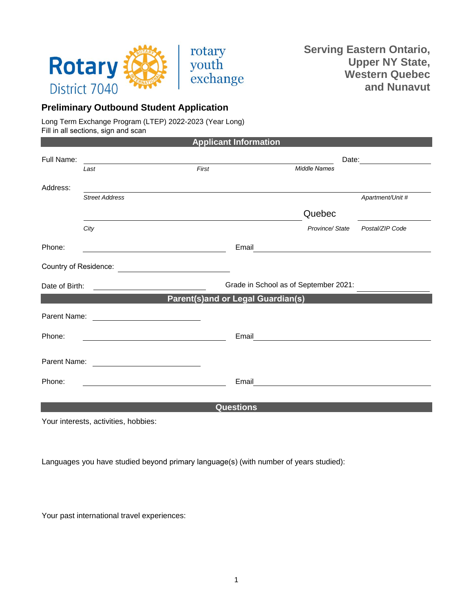

## **Preliminary Outbound Student Application**

Long Term Exchange Program (LTEP) 2022-2023 (Year Long) Fill in all sections, sign and scan

| <b>Applicant Information</b> |                                |                                                                                                                                                                                            |                                                                                                                                                                                                                                                                                                                                                                                                                    |  |
|------------------------------|--------------------------------|--------------------------------------------------------------------------------------------------------------------------------------------------------------------------------------------|--------------------------------------------------------------------------------------------------------------------------------------------------------------------------------------------------------------------------------------------------------------------------------------------------------------------------------------------------------------------------------------------------------------------|--|
|                              |                                |                                                                                                                                                                                            |                                                                                                                                                                                                                                                                                                                                                                                                                    |  |
| Last                         | First                          | <b>Middle Names</b>                                                                                                                                                                        |                                                                                                                                                                                                                                                                                                                                                                                                                    |  |
|                              |                                |                                                                                                                                                                                            |                                                                                                                                                                                                                                                                                                                                                                                                                    |  |
| <b>Street Address</b>        |                                |                                                                                                                                                                                            | Apartment/Unit #                                                                                                                                                                                                                                                                                                                                                                                                   |  |
|                              |                                | Quebec                                                                                                                                                                                     |                                                                                                                                                                                                                                                                                                                                                                                                                    |  |
| City                         |                                | Province/State                                                                                                                                                                             | Postal/ZIP Code                                                                                                                                                                                                                                                                                                                                                                                                    |  |
|                              |                                |                                                                                                                                                                                            |                                                                                                                                                                                                                                                                                                                                                                                                                    |  |
|                              |                                |                                                                                                                                                                                            |                                                                                                                                                                                                                                                                                                                                                                                                                    |  |
|                              |                                |                                                                                                                                                                                            |                                                                                                                                                                                                                                                                                                                                                                                                                    |  |
|                              |                                |                                                                                                                                                                                            |                                                                                                                                                                                                                                                                                                                                                                                                                    |  |
|                              |                                |                                                                                                                                                                                            |                                                                                                                                                                                                                                                                                                                                                                                                                    |  |
|                              |                                |                                                                                                                                                                                            |                                                                                                                                                                                                                                                                                                                                                                                                                    |  |
|                              |                                |                                                                                                                                                                                            |                                                                                                                                                                                                                                                                                                                                                                                                                    |  |
|                              |                                |                                                                                                                                                                                            |                                                                                                                                                                                                                                                                                                                                                                                                                    |  |
|                              |                                |                                                                                                                                                                                            |                                                                                                                                                                                                                                                                                                                                                                                                                    |  |
|                              | Date of Birth:<br>Parent Name: | <u> 1989 - Johann Harry Harry Harry Harry Harry Harry Harry Harry Harry Harry Harry Harry Harry Harry Harry Harry</u><br><u> 1980 - Andrea Station Books, amerikansk politik (d. 1980)</u> | Email<br><u> 1989 - John Stein, Amerikaansk politiker (</u><br>Grade in School as of September 2021:<br><b>Parent(s)and or Legal Guardian(s)</b><br>Email<br><u> 1989 - Jan Stein Stein Stein Stein Stein Stein Stein Stein Stein Stein Stein Stein Stein Stein Stein Stein S</u><br>Email<br><u> 1980 - Jan Samuel Barbara, martin di sebagai personal di sebagai personal di sebagai personal di sebagai per</u> |  |

Your interests, activities, hobbies:

Languages you have studied beyond primary language(s) (with number of years studied):

Your past international travel experiences: